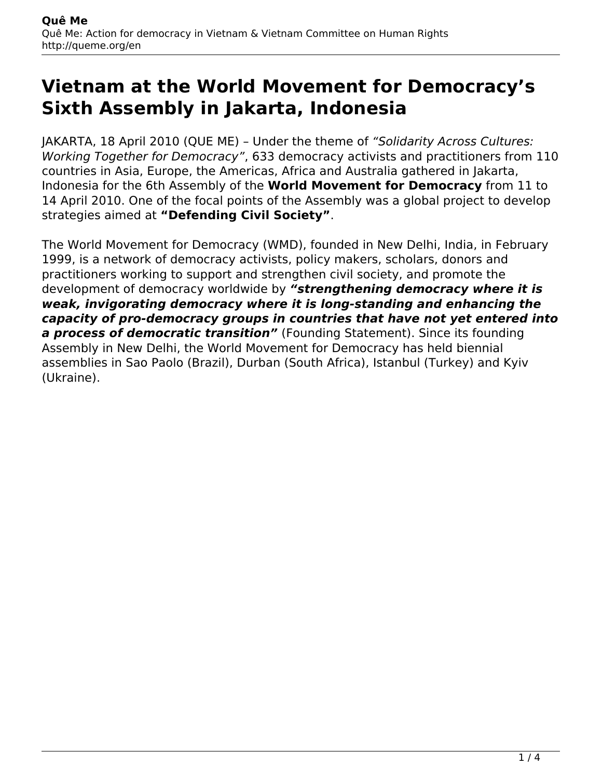## **Vietnam at the World Movement for Democracy's Sixth Assembly in Jakarta, Indonesia**

JAKARTA, 18 April 2010 (QUE ME) – Under the theme of *"Solidarity Across Cultures: Working Together for Democracy"*, 633 democracy activists and practitioners from 110 countries in Asia, Europe, the Americas, Africa and Australia gathered in Jakarta, Indonesia for the 6th Assembly of the **World Movement for Democracy** from 11 to 14 April 2010. One of the focal points of the Assembly was a global project to develop strategies aimed at **"Defending Civil Society"**.

The World Movement for Democracy (WMD), founded in New Delhi, India, in February 1999, is a network of democracy activists, policy makers, scholars, donors and practitioners working to support and strengthen civil society, and promote the development of democracy worldwide by *"strengthening democracy where it is weak, invigorating democracy where it is long-standing and enhancing the capacity of pro-democracy groups in countries that have not yet entered into a process of democratic transition"* (Founding Statement). Since its founding Assembly in New Delhi, the World Movement for Democracy has held biennial assemblies in Sao Paolo (Brazil), Durban (South Africa), Istanbul (Turkey) and Kyiv (Ukraine).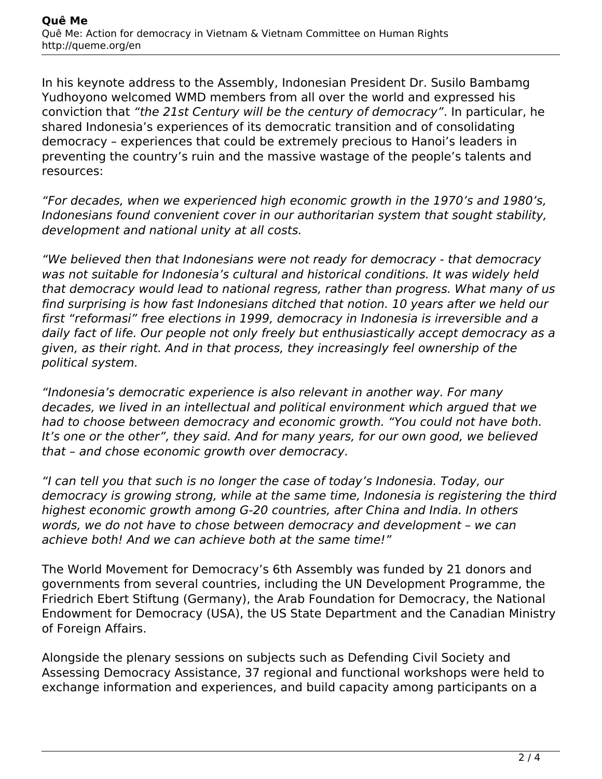In his keynote address to the Assembly, Indonesian President Dr. Susilo Bambamg Yudhoyono welcomed WMD members from all over the world and expressed his conviction that *"the 21st Century will be the century of democracy"*. In particular, he shared Indonesia's experiences of its democratic transition and of consolidating democracy – experiences that could be extremely precious to Hanoi's leaders in preventing the country's ruin and the massive wastage of the people's talents and resources:

*"For decades, when we experienced high economic growth in the 1970's and 1980's, Indonesians found convenient cover in our authoritarian system that sought stability, development and national unity at all costs.*

*"We believed then that Indonesians were not ready for democracy - that democracy was not suitable for Indonesia's cultural and historical conditions. It was widely held that democracy would lead to national regress, rather than progress. What many of us find surprising is how fast Indonesians ditched that notion. 10 years after we held our first "reformasi" free elections in 1999, democracy in Indonesia is irreversible and a daily fact of life. Our people not only freely but enthusiastically accept democracy as a given, as their right. And in that process, they increasingly feel ownership of the political system.*

*"Indonesia's democratic experience is also relevant in another way. For many decades, we lived in an intellectual and political environment which argued that we had to choose between democracy and economic growth. "You could not have both. It's one or the other", they said. And for many years, for our own good, we believed that – and chose economic growth over democracy.*

*"I can tell you that such is no longer the case of today's Indonesia. Today, our democracy is growing strong, while at the same time, Indonesia is registering the third highest economic growth among G-20 countries, after China and India. In others words, we do not have to chose between democracy and development – we can achieve both! And we can achieve both at the same time!"*

The World Movement for Democracy's 6th Assembly was funded by 21 donors and governments from several countries, including the UN Development Programme, the Friedrich Ebert Stiftung (Germany), the Arab Foundation for Democracy, the National Endowment for Democracy (USA), the US State Department and the Canadian Ministry of Foreign Affairs.

Alongside the plenary sessions on subjects such as Defending Civil Society and Assessing Democracy Assistance, 37 regional and functional workshops were held to exchange information and experiences, and build capacity among participants on a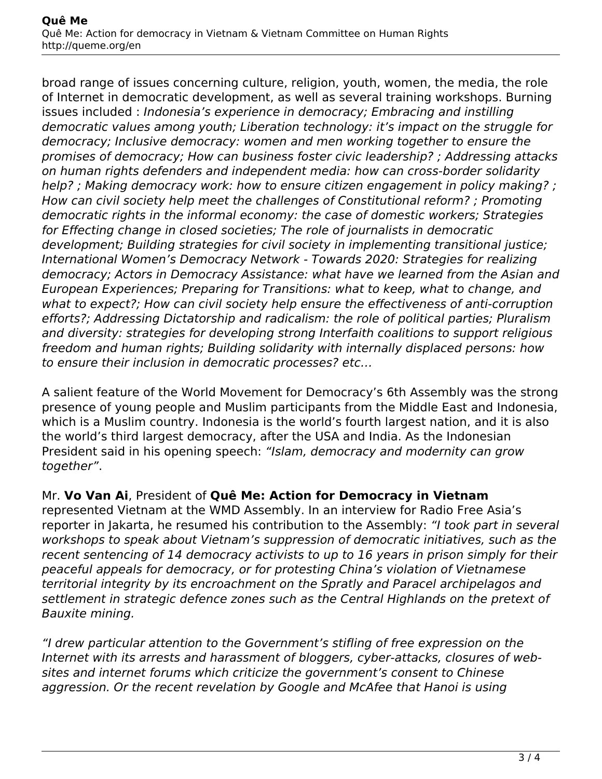broad range of issues concerning culture, religion, youth, women, the media, the role of Internet in democratic development, as well as several training workshops. Burning issues included : *Indonesia's experience in democracy; Embracing and instilling democratic values among youth; Liberation technology: it's impact on the struggle for democracy; Inclusive democracy: women and men working together to ensure the promises of democracy; How can business foster civic leadership? ; Addressing attacks on human rights defenders and independent media: how can cross-border solidarity help? ; Making democracy work: how to ensure citizen engagement in policy making? ; How can civil society help meet the challenges of Constitutional reform? ; Promoting democratic rights in the informal economy: the case of domestic workers; Strategies for Effecting change in closed societies; The role of journalists in democratic development; Building strategies for civil society in implementing transitional justice; International Women's Democracy Network - Towards 2020: Strategies for realizing democracy; Actors in Democracy Assistance: what have we learned from the Asian and European Experiences; Preparing for Transitions: what to keep, what to change, and what to expect?; How can civil society help ensure the effectiveness of anti-corruption efforts?; Addressing Dictatorship and radicalism: the role of political parties; Pluralism and diversity: strategies for developing strong Interfaith coalitions to support religious freedom and human rights; Building solidarity with internally displaced persons: how to ensure their inclusion in democratic processes? etc…*

A salient feature of the World Movement for Democracy's 6th Assembly was the strong presence of young people and Muslim participants from the Middle East and Indonesia, which is a Muslim country. Indonesia is the world's fourth largest nation, and it is also the world's third largest democracy, after the USA and India. As the Indonesian President said in his opening speech: *"Islam, democracy and modernity can grow together"*.

## Mr. **Vo Van Ai**, President of **Quê Me: Action for Democracy in Vietnam**

represented Vietnam at the WMD Assembly. In an interview for Radio Free Asia's reporter in Jakarta, he resumed his contribution to the Assembly: *"I took part in several workshops to speak about Vietnam's suppression of democratic initiatives, such as the recent sentencing of 14 democracy activists to up to 16 years in prison simply for their peaceful appeals for democracy, or for protesting China's violation of Vietnamese territorial integrity by its encroachment on the Spratly and Paracel archipelagos and settlement in strategic defence zones such as the Central Highlands on the pretext of Bauxite mining.*

*"I drew particular attention to the Government's stifling of free expression on the Internet with its arrests and harassment of bloggers, cyber-attacks, closures of websites and internet forums which criticize the government's consent to Chinese aggression. Or the recent revelation by Google and McAfee that Hanoi is using*